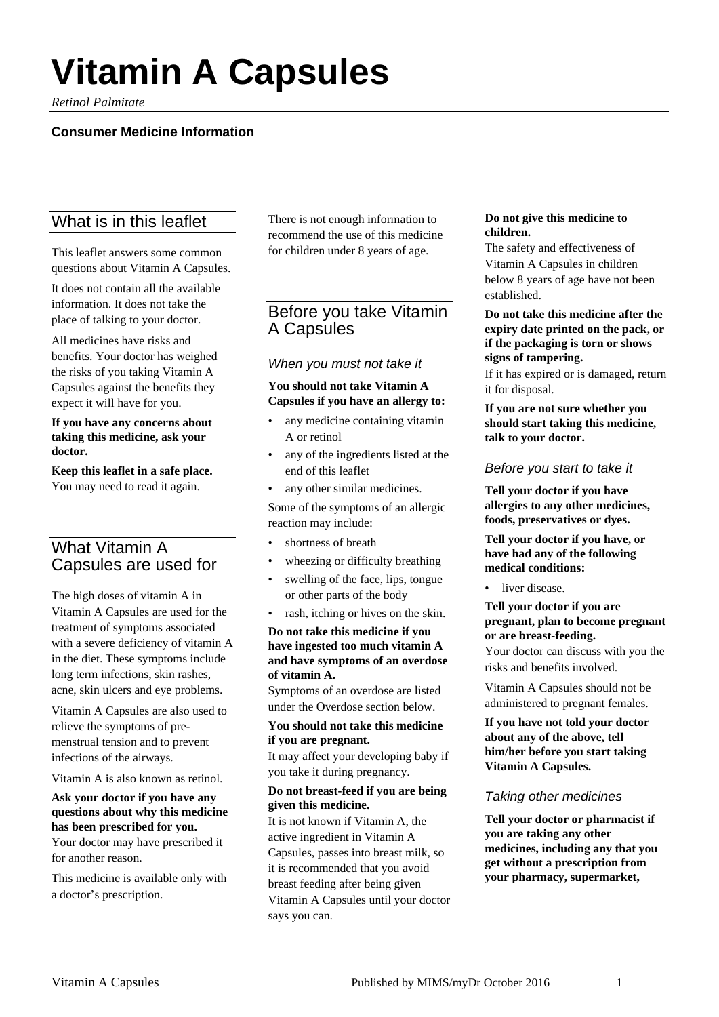# **Vitamin A Capsules**

*Retinol Palmitate*

## **Consumer Medicine Information**

# What is in this leaflet

This leaflet answers some common questions about Vitamin A Capsules.

It does not contain all the available information. It does not take the place of talking to your doctor.

All medicines have risks and benefits. Your doctor has weighed the risks of you taking Vitamin A Capsules against the benefits they expect it will have for you.

#### **If you have any concerns about taking this medicine, ask your doctor.**

**Keep this leaflet in a safe place.** You may need to read it again.

# What Vitamin A Capsules are used for

The high doses of vitamin A in Vitamin A Capsules are used for the treatment of symptoms associated with a severe deficiency of vitamin A in the diet. These symptoms include long term infections, skin rashes, acne, skin ulcers and eye problems.

Vitamin A Capsules are also used to relieve the symptoms of premenstrual tension and to prevent infections of the airways.

Vitamin A is also known as retinol.

#### **Ask your doctor if you have any questions about why this medicine has been prescribed for you.**

Your doctor may have prescribed it for another reason.

This medicine is available only with a doctor's prescription.

There is not enough information to recommend the use of this medicine for children under 8 years of age.

# Before you take Vitamin A Capsules

## *When you must not take it*

#### **You should not take Vitamin A Capsules if you have an allergy to:**

- any medicine containing vitamin A or retinol
- any of the ingredients listed at the end of this leaflet
- any other similar medicines.

Some of the symptoms of an allergic reaction may include:

- shortness of breath
- wheezing or difficulty breathing
- swelling of the face, lips, tongue or other parts of the body
- rash, itching or hives on the skin.

#### **Do not take this medicine if you have ingested too much vitamin A and have symptoms of an overdose of vitamin A.**

Symptoms of an overdose are listed under the Overdose section below.

#### **You should not take this medicine if you are pregnant.**

It may affect your developing baby if you take it during pregnancy.

#### **Do not breast-feed if you are being given this medicine.**

It is not known if Vitamin A, the active ingredient in Vitamin A Capsules, passes into breast milk, so it is recommended that you avoid breast feeding after being given Vitamin A Capsules until your doctor says you can.

#### **Do not give this medicine to children.**

The safety and effectiveness of Vitamin A Capsules in children below 8 years of age have not been established.

**Do not take this medicine after the expiry date printed on the pack, or if the packaging is torn or shows signs of tampering.**

If it has expired or is damaged, return it for disposal.

**If you are not sure whether you should start taking this medicine, talk to your doctor.**

### *Before you start to take it*

**Tell your doctor if you have allergies to any other medicines, foods, preservatives or dyes.**

#### **Tell your doctor if you have, or have had any of the following medical conditions:**

• liver disease.

#### **Tell your doctor if you are pregnant, plan to become pregnant or are breast-feeding.**

Your doctor can discuss with you the risks and benefits involved.

Vitamin A Capsules should not be administered to pregnant females.

**If you have not told your doctor about any of the above, tell him/her before you start taking Vitamin A Capsules.**

## *Taking other medicines*

**Tell your doctor or pharmacist if you are taking any other medicines, including any that you get without a prescription from your pharmacy, supermarket,**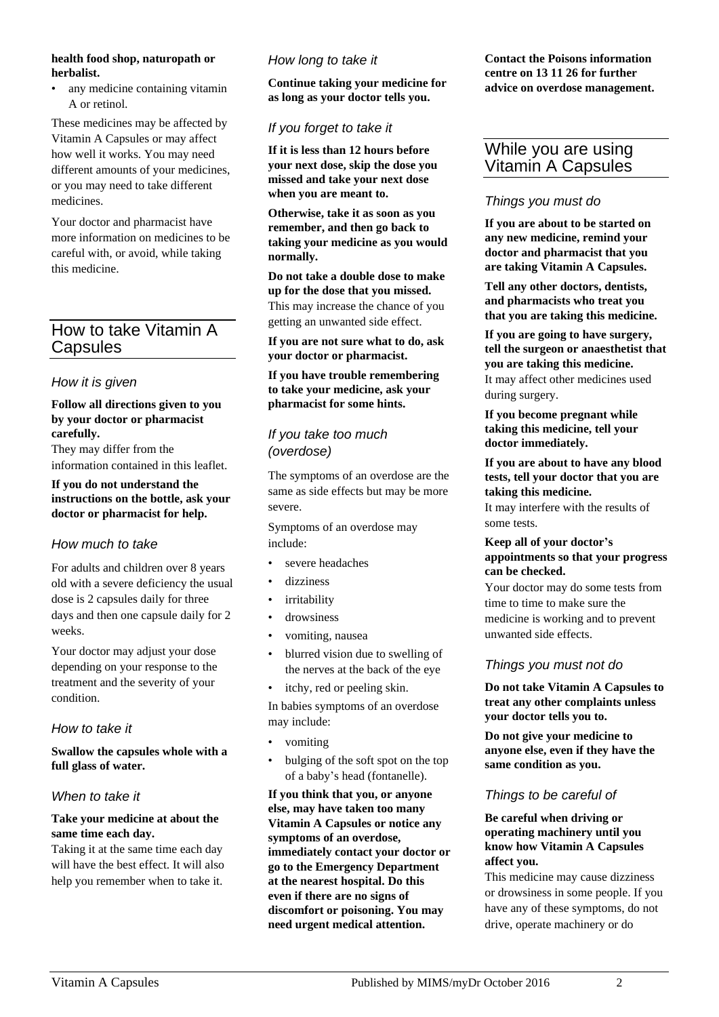#### **health food shop, naturopath or herbalist.**

• any medicine containing vitamin A or retinol.

These medicines may be affected by Vitamin A Capsules or may affect how well it works. You may need different amounts of your medicines, or you may need to take different medicines.

Your doctor and pharmacist have more information on medicines to be careful with, or avoid, while taking this medicine.

# How to take Vitamin A Capsules

## *How it is given*

#### **Follow all directions given to you by your doctor or pharmacist carefully.**

They may differ from the information contained in this leaflet.

#### **If you do not understand the instructions on the bottle, ask your doctor or pharmacist for help.**

## *How much to take*

For adults and children over 8 years old with a severe deficiency the usual dose is 2 capsules daily for three days and then one capsule daily for 2 weeks.

Your doctor may adjust your dose depending on your response to the treatment and the severity of your condition.

## *How to take it*

#### **Swallow the capsules whole with a full glass of water.**

## *When to take it*

#### **Take your medicine at about the same time each day.**

Taking it at the same time each day will have the best effect. It will also help you remember when to take it.

## *How long to take it*

**Continue taking your medicine for as long as your doctor tells you.**

## *If you forget to take it*

**If it is less than 12 hours before your next dose, skip the dose you missed and take your next dose when you are meant to.**

**Otherwise, take it as soon as you remember, and then go back to taking your medicine as you would normally.**

**Do not take a double dose to make up for the dose that you missed.**

This may increase the chance of you getting an unwanted side effect.

**If you are not sure what to do, ask your doctor or pharmacist.**

#### **If you have trouble remembering to take your medicine, ask your pharmacist for some hints.**

## *If you take too much (overdose)*

The symptoms of an overdose are the same as side effects but may be more severe.

Symptoms of an overdose may include:

- severe headaches
- dizziness
- irritability
- drowsiness
- vomiting, nausea
- blurred vision due to swelling of the nerves at the back of the eye
- itchy, red or peeling skin.

In babies symptoms of an overdose may include:

- vomiting
- bulging of the soft spot on the top of a baby's head (fontanelle).

**If you think that you, or anyone else, may have taken too many Vitamin A Capsules or notice any symptoms of an overdose, immediately contact your doctor or go to the Emergency Department at the nearest hospital. Do this even if there are no signs of discomfort or poisoning. You may need urgent medical attention.**

**Contact the Poisons information centre on 13 11 26 for further advice on overdose management.**

## While you are using Vitamin A Capsules

## *Things you must do*

**If you are about to be started on any new medicine, remind your doctor and pharmacist that you are taking Vitamin A Capsules.**

**Tell any other doctors, dentists, and pharmacists who treat you that you are taking this medicine.**

**If you are going to have surgery, tell the surgeon or anaesthetist that you are taking this medicine.** It may affect other medicines used during surgery.

**If you become pregnant while taking this medicine, tell your doctor immediately.**

#### **If you are about to have any blood tests, tell your doctor that you are taking this medicine.**

It may interfere with the results of some tests.

#### **Keep all of your doctor's appointments so that your progress can be checked.**

Your doctor may do some tests from time to time to make sure the medicine is working and to prevent unwanted side effects.

## *Things you must not do*

**Do not take Vitamin A Capsules to treat any other complaints unless your doctor tells you to.**

**Do not give your medicine to anyone else, even if they have the same condition as you.**

## *Things to be careful of*

#### **Be careful when driving or operating machinery until you know how Vitamin A Capsules affect you.**

This medicine may cause dizziness or drowsiness in some people. If you have any of these symptoms, do not drive, operate machinery or do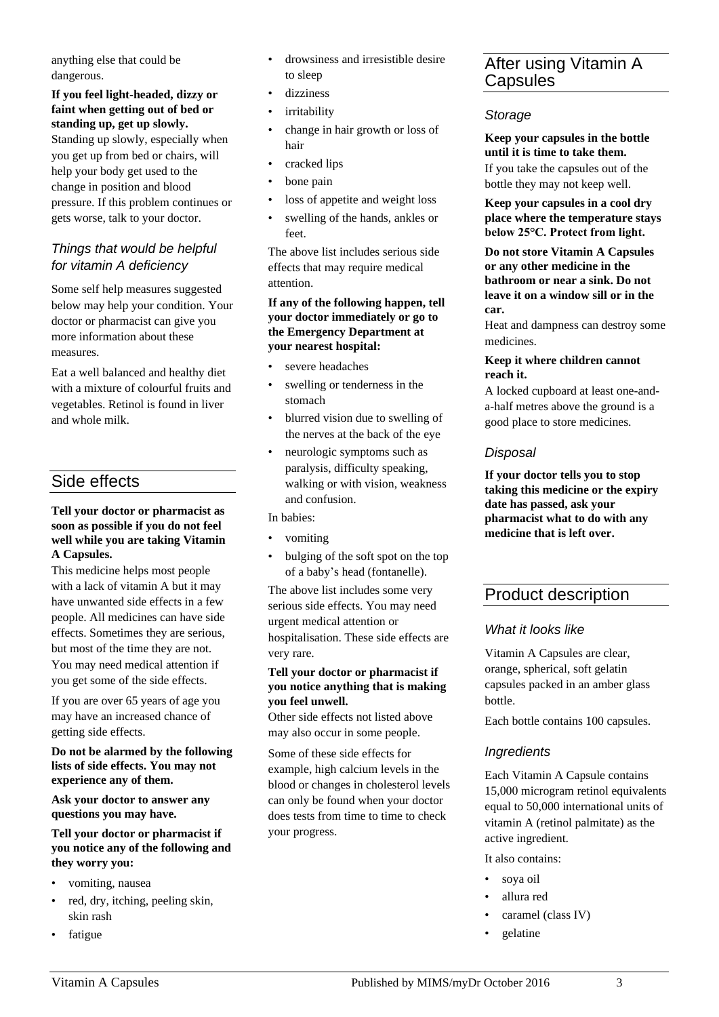anything else that could be dangerous.

## **If you feel light-headed, dizzy or faint when getting out of bed or standing up, get up slowly.**

Standing up slowly, especially when you get up from bed or chairs, will help your body get used to the change in position and blood pressure. If this problem continues or gets worse, talk to your doctor.

## *Things that would be helpful for vitamin A deficiency*

Some self help measures suggested below may help your condition. Your doctor or pharmacist can give you more information about these measures.

Eat a well balanced and healthy diet with a mixture of colourful fruits and vegetables. Retinol is found in liver and whole milk.

# Side effects

#### **Tell your doctor or pharmacist as soon as possible if you do not feel well while you are taking Vitamin A Capsules.**

This medicine helps most people with a lack of vitamin A but it may have unwanted side effects in a few people. All medicines can have side effects. Sometimes they are serious, but most of the time they are not. You may need medical attention if you get some of the side effects.

If you are over 65 years of age you may have an increased chance of getting side effects.

**Do not be alarmed by the following lists of side effects. You may not experience any of them.**

**Ask your doctor to answer any questions you may have.**

#### **Tell your doctor or pharmacist if you notice any of the following and they worry you:**

- vomiting, nausea
- red, dry, itching, peeling skin, skin rash
- fatigue
- drowsiness and irresistible desire to sleep
- dizziness
- irritability
- change in hair growth or loss of hair
- cracked lips
- bone pain
- loss of appetite and weight loss
- swelling of the hands, ankles or feet.

The above list includes serious side effects that may require medical attention.

#### **If any of the following happen, tell your doctor immediately or go to the Emergency Department at your nearest hospital:**

- severe headaches
- swelling or tenderness in the stomach
- blurred vision due to swelling of the nerves at the back of the eye
- neurologic symptoms such as paralysis, difficulty speaking, walking or with vision, weakness and confusion.

In babies:

- vomiting
- bulging of the soft spot on the top of a baby's head (fontanelle).

The above list includes some very serious side effects. You may need urgent medical attention or hospitalisation. These side effects are very rare.

#### **Tell your doctor or pharmacist if you notice anything that is making you feel unwell.**

Other side effects not listed above may also occur in some people.

Some of these side effects for example, high calcium levels in the blood or changes in cholesterol levels can only be found when your doctor does tests from time to time to check your progress.

# After using Vitamin A **Capsules**

## *Storage*

**Keep your capsules in the bottle until it is time to take them.**

If you take the capsules out of the bottle they may not keep well.

**Keep your capsules in a cool dry place where the temperature stays below 25°C. Protect from light.**

**Do not store Vitamin A Capsules or any other medicine in the bathroom or near a sink. Do not leave it on a window sill or in the car.**

Heat and dampness can destroy some medicines.

#### **Keep it where children cannot reach it.**

A locked cupboard at least one-anda-half metres above the ground is a good place to store medicines.

## *Disposal*

**If your doctor tells you to stop taking this medicine or the expiry date has passed, ask your pharmacist what to do with any medicine that is left over.**

# Product description

# *What it looks like*

Vitamin A Capsules are clear, orange, spherical, soft gelatin capsules packed in an amber glass bottle.

Each bottle contains 100 capsules.

## *Ingredients*

Each Vitamin A Capsule contains 15,000 microgram retinol equivalents equal to 50,000 international units of vitamin A (retinol palmitate) as the active ingredient.

It also contains:

- soya oil
- allura red
- caramel (class IV)
- gelatine